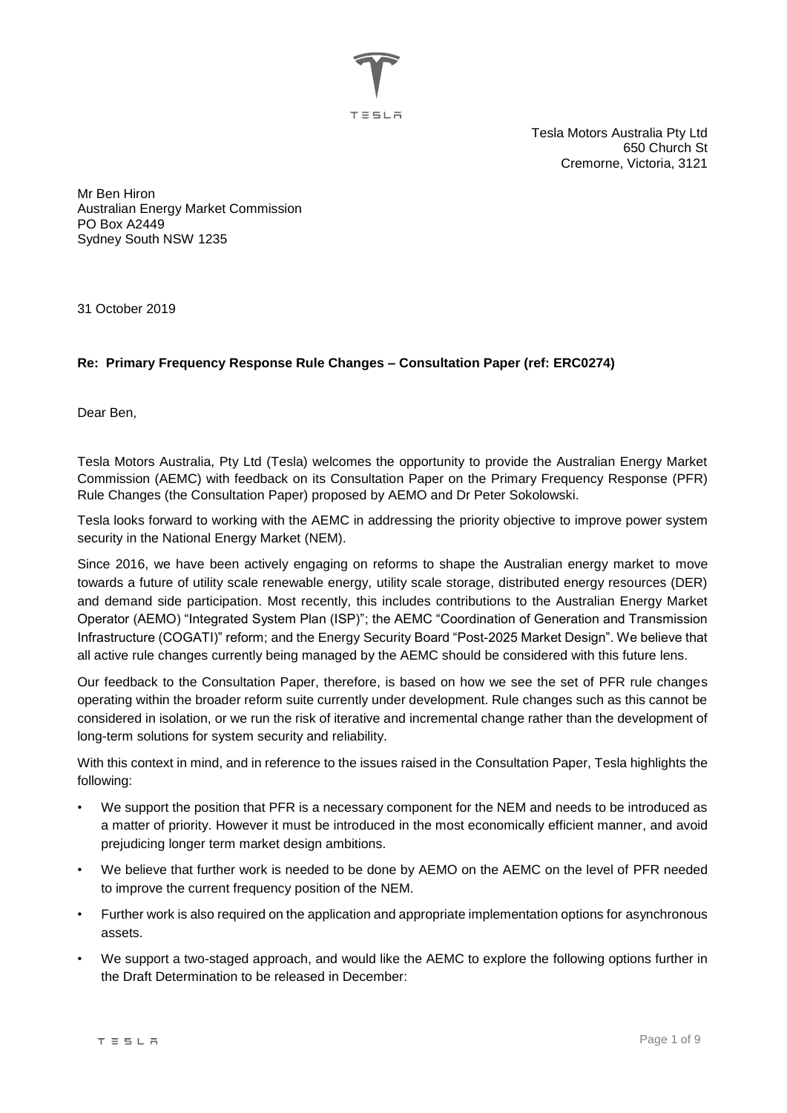TESLA

Tesla Motors Australia Pty Ltd 650 Church St Cremorne, Victoria, 3121

Mr Ben Hiron Australian Energy Market Commission PO Box A2449 Sydney South NSW 1235

31 October 2019

# **Re: Primary Frequency Response Rule Changes – Consultation Paper (ref: ERC0274)**

Dear Ben,

Tesla Motors Australia, Pty Ltd (Tesla) welcomes the opportunity to provide the Australian Energy Market Commission (AEMC) with feedback on its Consultation Paper on the Primary Frequency Response (PFR) Rule Changes (the Consultation Paper) proposed by AEMO and Dr Peter Sokolowski.

Tesla looks forward to working with the AEMC in addressing the priority objective to improve power system security in the National Energy Market (NEM).

Since 2016, we have been actively engaging on reforms to shape the Australian energy market to move towards a future of utility scale renewable energy, utility scale storage, distributed energy resources (DER) and demand side participation. Most recently, this includes contributions to the Australian Energy Market Operator (AEMO) "Integrated System Plan (ISP)"; the AEMC "Coordination of Generation and Transmission Infrastructure (COGATI)" reform; and the Energy Security Board "Post-2025 Market Design". We believe that all active rule changes currently being managed by the AEMC should be considered with this future lens.

Our feedback to the Consultation Paper, therefore, is based on how we see the set of PFR rule changes operating within the broader reform suite currently under development. Rule changes such as this cannot be considered in isolation, or we run the risk of iterative and incremental change rather than the development of long-term solutions for system security and reliability.

With this context in mind, and in reference to the issues raised in the Consultation Paper, Tesla highlights the following:

- We support the position that PFR is a necessary component for the NEM and needs to be introduced as a matter of priority. However it must be introduced in the most economically efficient manner, and avoid prejudicing longer term market design ambitions.
- We believe that further work is needed to be done by AEMO on the AEMC on the level of PFR needed to improve the current frequency position of the NEM.
- Further work is also required on the application and appropriate implementation options for asynchronous assets.
- We support a two-staged approach, and would like the AEMC to explore the following options further in the Draft Determination to be released in December: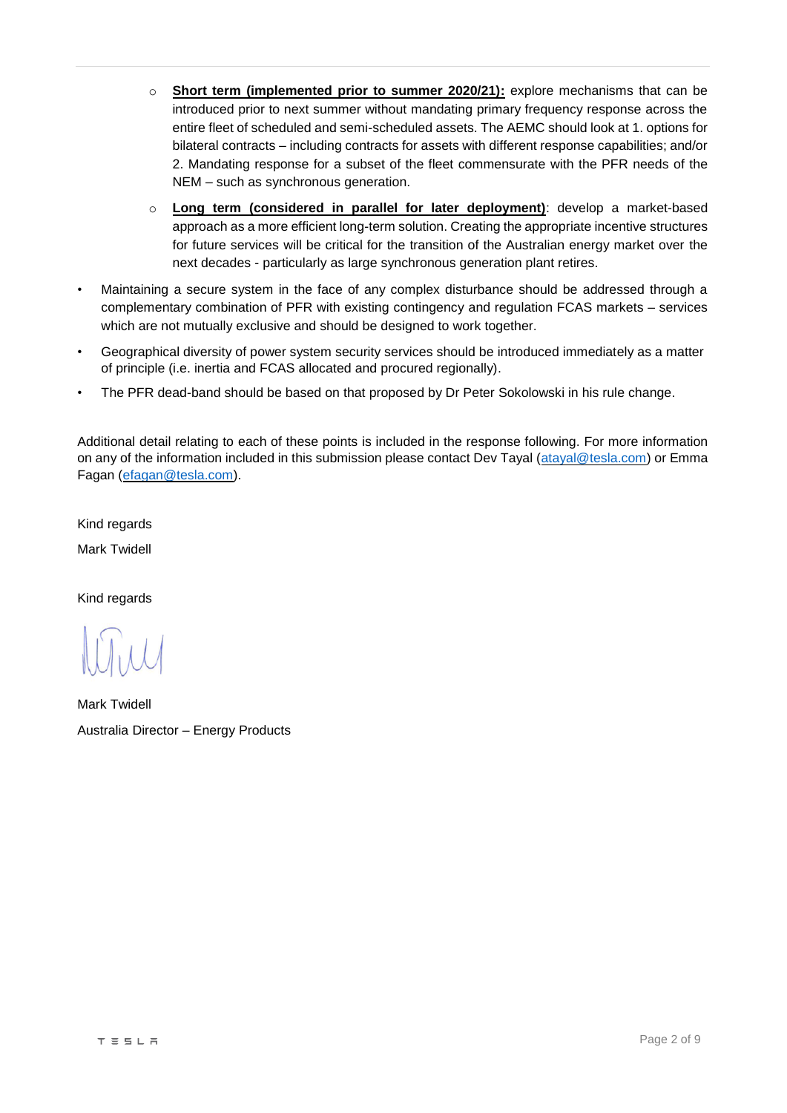- o **Short term (implemented prior to summer 2020/21):** explore mechanisms that can be introduced prior to next summer without mandating primary frequency response across the entire fleet of scheduled and semi-scheduled assets. The AEMC should look at 1. options for bilateral contracts – including contracts for assets with different response capabilities; and/or 2. Mandating response for a subset of the fleet commensurate with the PFR needs of the NEM – such as synchronous generation.
- o **Long term (considered in parallel for later deployment)**: develop a market-based approach as a more efficient long-term solution. Creating the appropriate incentive structures for future services will be critical for the transition of the Australian energy market over the next decades - particularly as large synchronous generation plant retires.
- Maintaining a secure system in the face of any complex disturbance should be addressed through a complementary combination of PFR with existing contingency and regulation FCAS markets – services which are not mutually exclusive and should be designed to work together.
- Geographical diversity of power system security services should be introduced immediately as a matter of principle (i.e. inertia and FCAS allocated and procured regionally).
- The PFR dead-band should be based on that proposed by Dr Peter Sokolowski in his rule change.

Additional detail relating to each of these points is included in the response following. For more information on any of the information included in this submission please contact Dev Tayal [\(atayal@tesla.com\)](mailto:atayal@tesla.com) or Emma Fagan [\(efagan@tesla.com\)](mailto:efagan@tesla.com).

Kind regards Mark Twidell

Kind regards

Mark Twidell Australia Director – Energy Products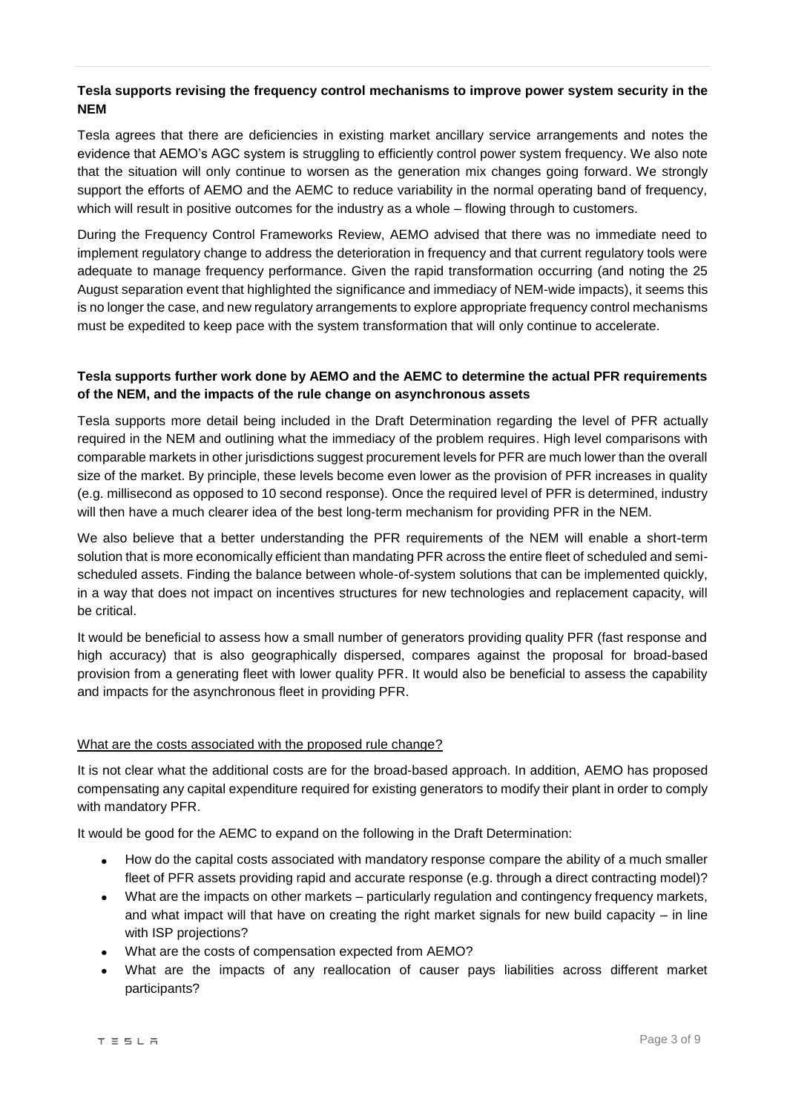### **Tesla supports revising the frequency control mechanisms to improve power system security in the NEM**

Tesla agrees that there are deficiencies in existing market ancillary service arrangements and notes the evidence that AEMO's AGC system is struggling to efficiently control power system frequency. We also note that the situation will only continue to worsen as the generation mix changes going forward. We strongly support the efforts of AEMO and the AEMC to reduce variability in the normal operating band of frequency, which will result in positive outcomes for the industry as a whole – flowing through to customers.

During the Frequency Control Frameworks Review, AEMO advised that there was no immediate need to implement regulatory change to address the deterioration in frequency and that current regulatory tools were adequate to manage frequency performance. Given the rapid transformation occurring (and noting the 25 August separation event that highlighted the significance and immediacy of NEM-wide impacts), it seems this is no longer the case, and new regulatory arrangements to explore appropriate frequency control mechanisms must be expedited to keep pace with the system transformation that will only continue to accelerate.

# **Tesla supports further work done by AEMO and the AEMC to determine the actual PFR requirements of the NEM, and the impacts of the rule change on asynchronous assets**

Tesla supports more detail being included in the Draft Determination regarding the level of PFR actually required in the NEM and outlining what the immediacy of the problem requires. High level comparisons with comparable markets in other jurisdictions suggest procurement levels for PFR are much lower than the overall size of the market. By principle, these levels become even lower as the provision of PFR increases in quality (e.g. millisecond as opposed to 10 second response). Once the required level of PFR is determined, industry will then have a much clearer idea of the best long-term mechanism for providing PFR in the NEM.

We also believe that a better understanding the PFR requirements of the NEM will enable a short-term solution that is more economically efficient than mandating PFR across the entire fleet of scheduled and semischeduled assets. Finding the balance between whole-of-system solutions that can be implemented quickly, in a way that does not impact on incentives structures for new technologies and replacement capacity, will be critical.

It would be beneficial to assess how a small number of generators providing quality PFR (fast response and high accuracy) that is also geographically dispersed, compares against the proposal for broad-based provision from a generating fleet with lower quality PFR. It would also be beneficial to assess the capability and impacts for the asynchronous fleet in providing PFR.

#### What are the costs associated with the proposed rule change?

It is not clear what the additional costs are for the broad-based approach. In addition, AEMO has proposed compensating any capital expenditure required for existing generators to modify their plant in order to comply with mandatory PFR.

It would be good for the AEMC to expand on the following in the Draft Determination:

- How do the capital costs associated with mandatory response compare the ability of a much smaller fleet of PFR assets providing rapid and accurate response (e.g. through a direct contracting model)?
- What are the impacts on other markets particularly regulation and contingency frequency markets, and what impact will that have on creating the right market signals for new build capacity – in line with ISP projections?
- What are the costs of compensation expected from AEMO?
- What are the impacts of any reallocation of causer pays liabilities across different market participants?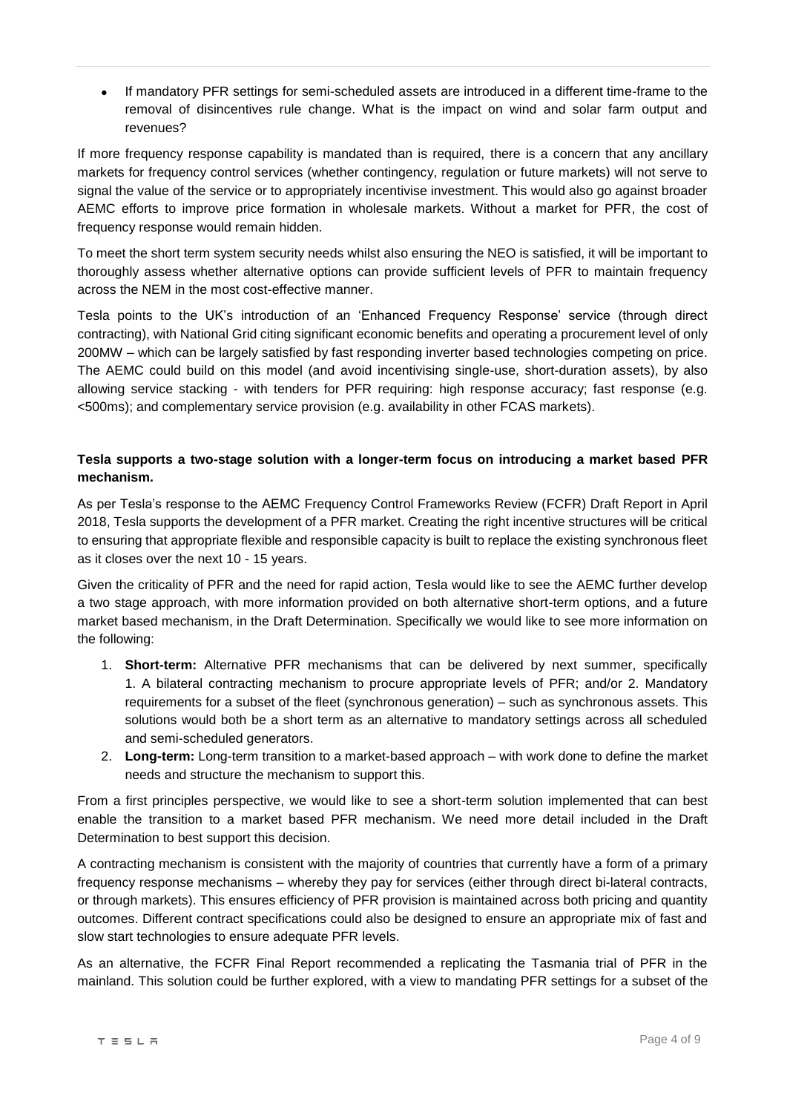If mandatory PFR settings for semi-scheduled assets are introduced in a different time-frame to the removal of disincentives rule change. What is the impact on wind and solar farm output and revenues?

If more frequency response capability is mandated than is required, there is a concern that any ancillary markets for frequency control services (whether contingency, regulation or future markets) will not serve to signal the value of the service or to appropriately incentivise investment. This would also go against broader AEMC efforts to improve price formation in wholesale markets. Without a market for PFR, the cost of frequency response would remain hidden.

To meet the short term system security needs whilst also ensuring the NEO is satisfied, it will be important to thoroughly assess whether alternative options can provide sufficient levels of PFR to maintain frequency across the NEM in the most cost-effective manner.

Tesla points to the UK's introduction of an 'Enhanced Frequency Response' service (through direct contracting), with National Grid citing significant economic benefits and operating a procurement level of only 200MW – which can be largely satisfied by fast responding inverter based technologies competing on price. The AEMC could build on this model (and avoid incentivising single-use, short-duration assets), by also allowing service stacking - with tenders for PFR requiring: high response accuracy; fast response (e.g. <500ms); and complementary service provision (e.g. availability in other FCAS markets).

### **Tesla supports a two-stage solution with a longer-term focus on introducing a market based PFR mechanism.**

As per Tesla's response to the AEMC Frequency Control Frameworks Review (FCFR) Draft Report in April 2018, Tesla supports the development of a PFR market. Creating the right incentive structures will be critical to ensuring that appropriate flexible and responsible capacity is built to replace the existing synchronous fleet as it closes over the next 10 - 15 years.

Given the criticality of PFR and the need for rapid action, Tesla would like to see the AEMC further develop a two stage approach, with more information provided on both alternative short-term options, and a future market based mechanism, in the Draft Determination. Specifically we would like to see more information on the following:

- 1. **Short-term:** Alternative PFR mechanisms that can be delivered by next summer, specifically 1. A bilateral contracting mechanism to procure appropriate levels of PFR; and/or 2. Mandatory requirements for a subset of the fleet (synchronous generation) – such as synchronous assets. This solutions would both be a short term as an alternative to mandatory settings across all scheduled and semi-scheduled generators.
- 2. **Long-term:** Long-term transition to a market-based approach with work done to define the market needs and structure the mechanism to support this.

From a first principles perspective, we would like to see a short-term solution implemented that can best enable the transition to a market based PFR mechanism. We need more detail included in the Draft Determination to best support this decision.

A contracting mechanism is consistent with the majority of countries that currently have a form of a primary frequency response mechanisms – whereby they pay for services (either through direct bi-lateral contracts, or through markets). This ensures efficiency of PFR provision is maintained across both pricing and quantity outcomes. Different contract specifications could also be designed to ensure an appropriate mix of fast and slow start technologies to ensure adequate PFR levels.

As an alternative, the FCFR Final Report recommended a replicating the Tasmania trial of PFR in the mainland. This solution could be further explored, with a view to mandating PFR settings for a subset of the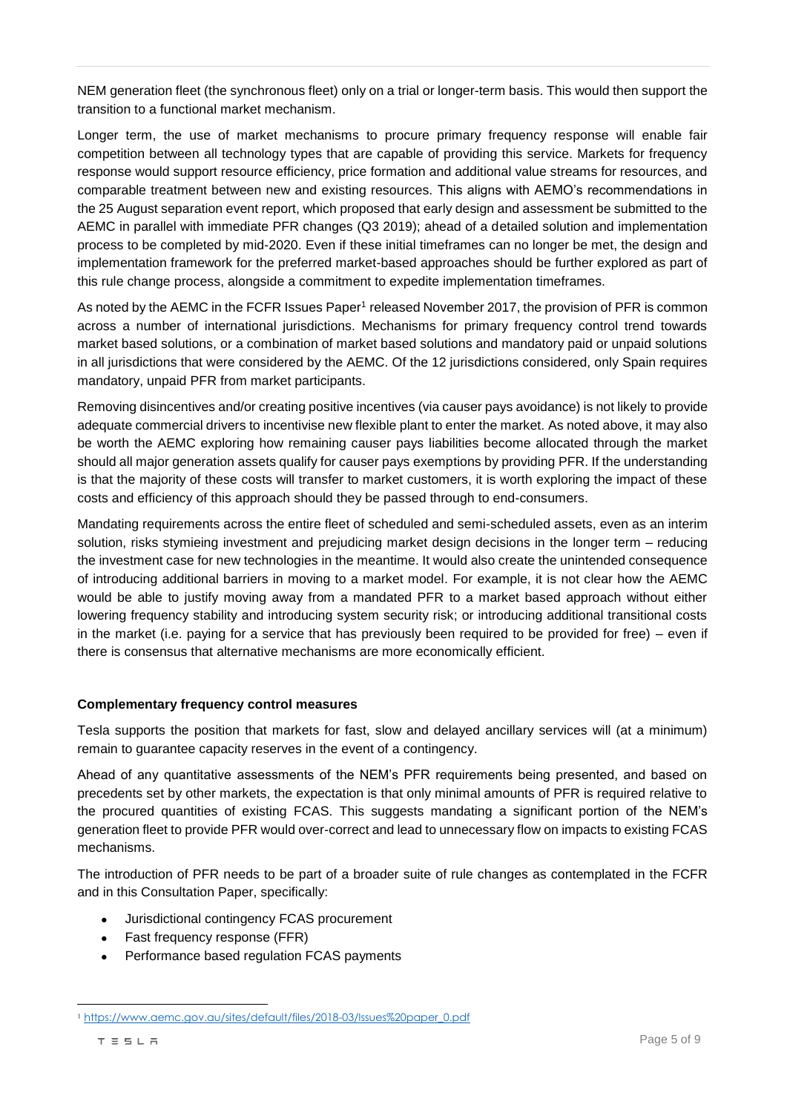NEM generation fleet (the synchronous fleet) only on a trial or longer-term basis. This would then support the transition to a functional market mechanism.

Longer term, the use of market mechanisms to procure primary frequency response will enable fair competition between all technology types that are capable of providing this service. Markets for frequency response would support resource efficiency, price formation and additional value streams for resources, and comparable treatment between new and existing resources. This aligns with AEMO's recommendations in the 25 August separation event report, which proposed that early design and assessment be submitted to the AEMC in parallel with immediate PFR changes (Q3 2019); ahead of a detailed solution and implementation process to be completed by mid-2020. Even if these initial timeframes can no longer be met, the design and implementation framework for the preferred market-based approaches should be further explored as part of this rule change process, alongside a commitment to expedite implementation timeframes.

As noted by the AEMC in the FCFR Issues Paper<sup>1</sup> released November 2017, the provision of PFR is common across a number of international jurisdictions. Mechanisms for primary frequency control trend towards market based solutions, or a combination of market based solutions and mandatory paid or unpaid solutions in all jurisdictions that were considered by the AEMC. Of the 12 jurisdictions considered, only Spain requires mandatory, unpaid PFR from market participants.

Removing disincentives and/or creating positive incentives (via causer pays avoidance) is not likely to provide adequate commercial drivers to incentivise new flexible plant to enter the market. As noted above, it may also be worth the AEMC exploring how remaining causer pays liabilities become allocated through the market should all major generation assets qualify for causer pays exemptions by providing PFR. If the understanding is that the majority of these costs will transfer to market customers, it is worth exploring the impact of these costs and efficiency of this approach should they be passed through to end-consumers.

Mandating requirements across the entire fleet of scheduled and semi-scheduled assets, even as an interim solution, risks stymieing investment and prejudicing market design decisions in the longer term – reducing the investment case for new technologies in the meantime. It would also create the unintended consequence of introducing additional barriers in moving to a market model. For example, it is not clear how the AEMC would be able to justify moving away from a mandated PFR to a market based approach without either lowering frequency stability and introducing system security risk; or introducing additional transitional costs in the market (i.e. paying for a service that has previously been required to be provided for free) – even if there is consensus that alternative mechanisms are more economically efficient.

#### **Complementary frequency control measures**

Tesla supports the position that markets for fast, slow and delayed ancillary services will (at a minimum) remain to guarantee capacity reserves in the event of a contingency.

Ahead of any quantitative assessments of the NEM's PFR requirements being presented, and based on precedents set by other markets, the expectation is that only minimal amounts of PFR is required relative to the procured quantities of existing FCAS. This suggests mandating a significant portion of the NEM's generation fleet to provide PFR would over-correct and lead to unnecessary flow on impacts to existing FCAS mechanisms.

The introduction of PFR needs to be part of a broader suite of rule changes as contemplated in the FCFR and in this Consultation Paper, specifically:

- Jurisdictional contingency FCAS procurement
- Fast frequency response (FFR)
- Performance based regulation FCAS payments

<sup>1</sup> [https://www.aemc.gov.au/sites/default/files/2018-03/Issues%20paper\\_0.pdf](https://www.aemc.gov.au/sites/default/files/2018-03/Issues%20paper_0.pdf)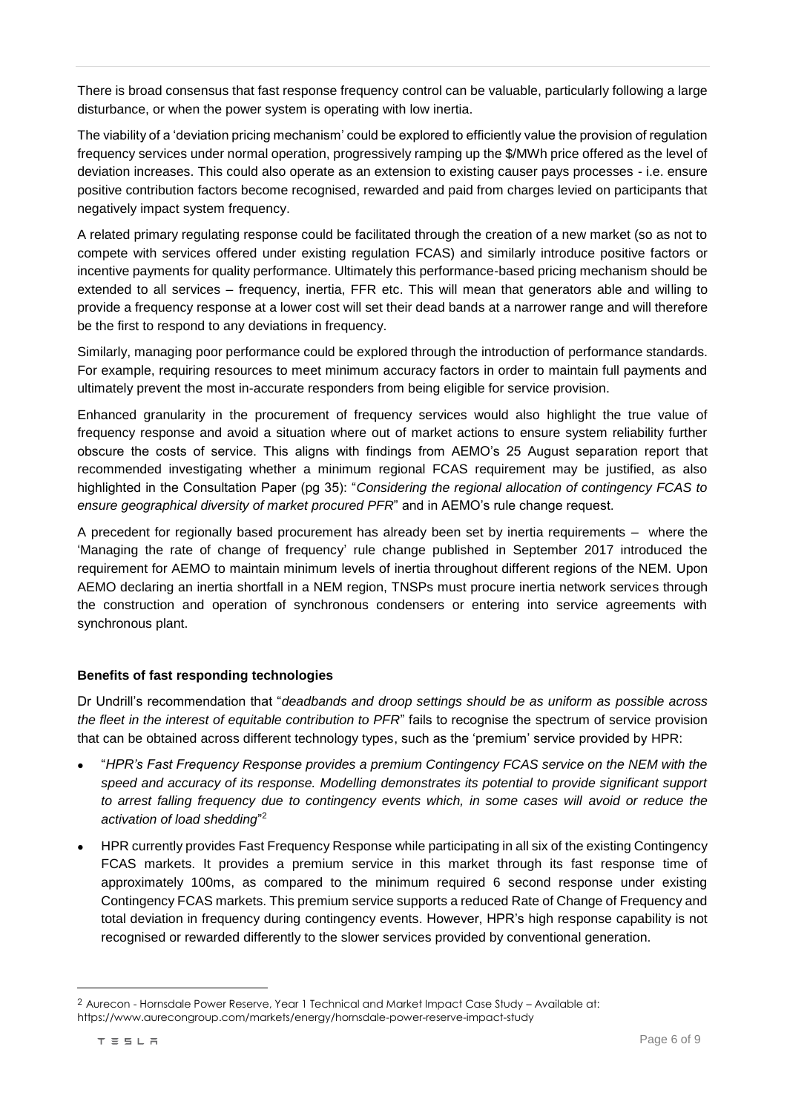There is broad consensus that fast response frequency control can be valuable, particularly following a large disturbance, or when the power system is operating with low inertia.

The viability of a 'deviation pricing mechanism' could be explored to efficiently value the provision of regulation frequency services under normal operation, progressively ramping up the \$/MWh price offered as the level of deviation increases. This could also operate as an extension to existing causer pays processes - i.e. ensure positive contribution factors become recognised, rewarded and paid from charges levied on participants that negatively impact system frequency.

A related primary regulating response could be facilitated through the creation of a new market (so as not to compete with services offered under existing regulation FCAS) and similarly introduce positive factors or incentive payments for quality performance. Ultimately this performance-based pricing mechanism should be extended to all services – frequency, inertia, FFR etc. This will mean that generators able and willing to provide a frequency response at a lower cost will set their dead bands at a narrower range and will therefore be the first to respond to any deviations in frequency.

Similarly, managing poor performance could be explored through the introduction of performance standards. For example, requiring resources to meet minimum accuracy factors in order to maintain full payments and ultimately prevent the most in-accurate responders from being eligible for service provision.

Enhanced granularity in the procurement of frequency services would also highlight the true value of frequency response and avoid a situation where out of market actions to ensure system reliability further obscure the costs of service. This aligns with findings from AEMO's 25 August separation report that recommended investigating whether a minimum regional FCAS requirement may be justified, as also highlighted in the Consultation Paper (pg 35): "*Considering the regional allocation of contingency FCAS to ensure geographical diversity of market procured PFR*" and in AEMO's rule change request.

A precedent for regionally based procurement has already been set by inertia requirements – where the 'Managing the rate of change of frequency' rule change published in September 2017 introduced the requirement for AEMO to maintain minimum levels of inertia throughout different regions of the NEM. Upon AEMO declaring an inertia shortfall in a NEM region, TNSPs must procure inertia network services through the construction and operation of synchronous condensers or entering into service agreements with synchronous plant.

#### **Benefits of fast responding technologies**

Dr Undrill's recommendation that "*deadbands and droop settings should be as uniform as possible across the fleet in the interest of equitable contribution to PFR*" fails to recognise the spectrum of service provision that can be obtained across different technology types, such as the 'premium' service provided by HPR:

- "*HPR's Fast Frequency Response provides a premium Contingency FCAS service on the NEM with the speed and accuracy of its response. Modelling demonstrates its potential to provide significant support to arrest falling frequency due to contingency events which, in some cases will avoid or reduce the activation of load shedding*" 2
- HPR currently provides Fast Frequency Response while participating in all six of the existing Contingency FCAS markets. It provides a premium service in this market through its fast response time of approximately 100ms, as compared to the minimum required 6 second response under existing Contingency FCAS markets. This premium service supports a reduced Rate of Change of Frequency and total deviation in frequency during contingency events. However, HPR's high response capability is not recognised or rewarded differently to the slower services provided by conventional generation.

 $\overline{a}$ 

<sup>2</sup> Aurecon - Hornsdale Power Reserve, Year 1 Technical and Market Impact Case Study – Available at: https://www.aurecongroup.com/markets/energy/hornsdale-power-reserve-impact-study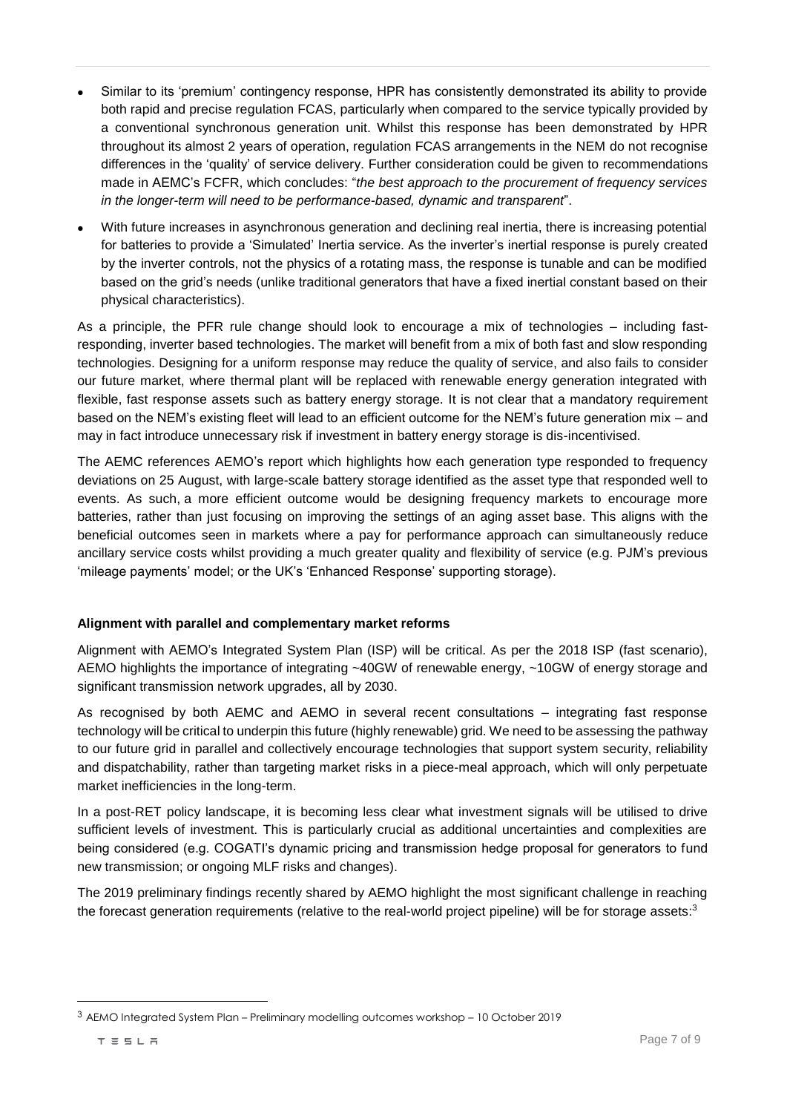- Similar to its 'premium' contingency response, HPR has consistently demonstrated its ability to provide both rapid and precise regulation FCAS, particularly when compared to the service typically provided by a conventional synchronous generation unit. Whilst this response has been demonstrated by HPR throughout its almost 2 years of operation, regulation FCAS arrangements in the NEM do not recognise differences in the 'quality' of service delivery. Further consideration could be given to recommendations made in AEMC's FCFR, which concludes: "*the best approach to the procurement of frequency services in the longer-term will need to be performance-based, dynamic and transparent*".
- With future increases in asynchronous generation and declining real inertia, there is increasing potential for batteries to provide a 'Simulated' Inertia service. As the inverter's inertial response is purely created by the inverter controls, not the physics of a rotating mass, the response is tunable and can be modified based on the grid's needs (unlike traditional generators that have a fixed inertial constant based on their physical characteristics).

As a principle, the PFR rule change should look to encourage a mix of technologies – including fastresponding, inverter based technologies. The market will benefit from a mix of both fast and slow responding technologies. Designing for a uniform response may reduce the quality of service, and also fails to consider our future market, where thermal plant will be replaced with renewable energy generation integrated with flexible, fast response assets such as battery energy storage. It is not clear that a mandatory requirement based on the NEM's existing fleet will lead to an efficient outcome for the NEM's future generation mix – and may in fact introduce unnecessary risk if investment in battery energy storage is dis-incentivised.

The AEMC references AEMO's report which highlights how each generation type responded to frequency deviations on 25 August, with large-scale battery storage identified as the asset type that responded well to events. As such, a more efficient outcome would be designing frequency markets to encourage more batteries, rather than just focusing on improving the settings of an aging asset base. This aligns with the beneficial outcomes seen in markets where a pay for performance approach can simultaneously reduce ancillary service costs whilst providing a much greater quality and flexibility of service (e.g. PJM's previous 'mileage payments' model; or the UK's 'Enhanced Response' supporting storage).

#### **Alignment with parallel and complementary market reforms**

Alignment with AEMO's Integrated System Plan (ISP) will be critical. As per the 2018 ISP (fast scenario), AEMO highlights the importance of integrating ~40GW of renewable energy, ~10GW of energy storage and significant transmission network upgrades, all by 2030.

As recognised by both AEMC and AEMO in several recent consultations – integrating fast response technology will be critical to underpin this future (highly renewable) grid. We need to be assessing the pathway to our future grid in parallel and collectively encourage technologies that support system security, reliability and dispatchability, rather than targeting market risks in a piece-meal approach, which will only perpetuate market inefficiencies in the long-term.

In a post-RET policy landscape, it is becoming less clear what investment signals will be utilised to drive sufficient levels of investment. This is particularly crucial as additional uncertainties and complexities are being considered (e.g. COGATI's dynamic pricing and transmission hedge proposal for generators to fund new transmission; or ongoing MLF risks and changes).

The 2019 preliminary findings recently shared by AEMO highlight the most significant challenge in reaching the forecast generation requirements (relative to the real-world project pipeline) will be for storage assets:<sup>3</sup>

 $\overline{a}$ 

<sup>3</sup> AEMO Integrated System Plan – Preliminary modelling outcomes workshop – 10 October 2019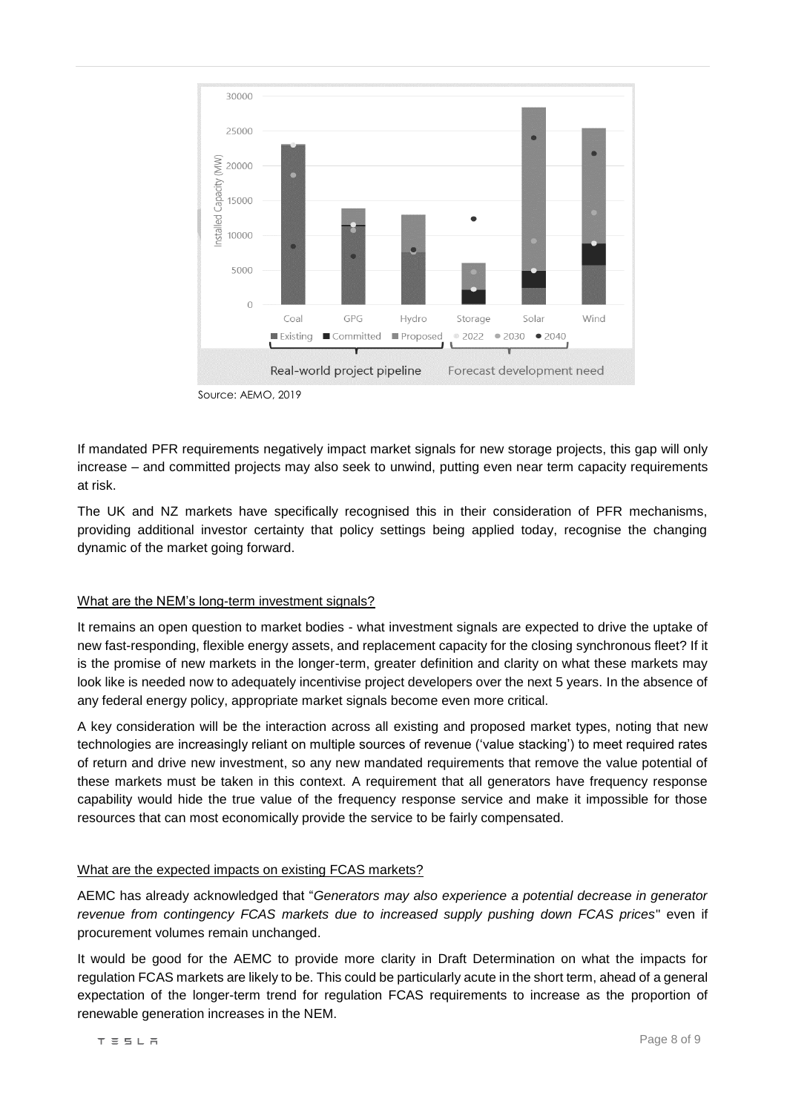

Source: AEMO, 2019

If mandated PFR requirements negatively impact market signals for new storage projects, this gap will only increase – and committed projects may also seek to unwind, putting even near term capacity requirements at risk.

The UK and NZ markets have specifically recognised this in their consideration of PFR mechanisms, providing additional investor certainty that policy settings being applied today, recognise the changing dynamic of the market going forward.

#### What are the NEM's long-term investment signals?

It remains an open question to market bodies - what investment signals are expected to drive the uptake of new fast-responding, flexible energy assets, and replacement capacity for the closing synchronous fleet? If it is the promise of new markets in the longer-term, greater definition and clarity on what these markets may look like is needed now to adequately incentivise project developers over the next 5 years. In the absence of any federal energy policy, appropriate market signals become even more critical.

A key consideration will be the interaction across all existing and proposed market types, noting that new technologies are increasingly reliant on multiple sources of revenue ('value stacking') to meet required rates of return and drive new investment, so any new mandated requirements that remove the value potential of these markets must be taken in this context. A requirement that all generators have frequency response capability would hide the true value of the frequency response service and make it impossible for those resources that can most economically provide the service to be fairly compensated.

# What are the expected impacts on existing FCAS markets?

AEMC has already acknowledged that "*Generators may also experience a potential decrease in generator revenue from contingency FCAS markets due to increased supply pushing down FCAS prices*" even if procurement volumes remain unchanged.

It would be good for the AEMC to provide more clarity in Draft Determination on what the impacts for regulation FCAS markets are likely to be. This could be particularly acute in the short term, ahead of a general expectation of the longer-term trend for regulation FCAS requirements to increase as the proportion of renewable generation increases in the NEM.